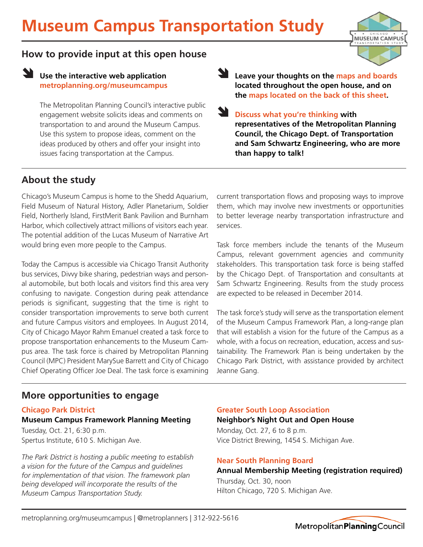

### **How to provide input at this open house**

## **Let use the interactive web application metroplanning.org/museumcampus**

The Metropolitan Planning Council's interactive public engagement website solicits ideas and comments on transportation to and around the Museum Campus. Use this system to propose ideas, comment on the ideas produced by others and offer your insight into issues facing transportation at the Campus.

**Leave your thoughts on the maps and boards located throughout the open house, and on the maps located on the back of this sheet.**

**Discuss what you're thinking with representatives of the Metropolitan Planning Council, the Chicago Dept. of Transportation and Sam Schwartz Engineering, who are more than happy to talk! N** 

# **About the study**

Chicago's Museum Campus is home to the Shedd Aquarium, Field Museum of Natural History, Adler Planetarium, Soldier Field, Northerly Island, FirstMerit Bank Pavilion and Burnham Harbor, which collectively attract millions of visitors each year. The potential addition of the Lucas Museum of Narrative Art would bring even more people to the Campus.

Today the Campus is accessible via Chicago Transit Authority bus services, Divvy bike sharing, pedestrian ways and personal automobile, but both locals and visitors find this area very confusing to navigate. Congestion during peak attendance periods is significant, suggesting that the time is right to consider transportation improvements to serve both current and future Campus visitors and employees. In August 2014, City of Chicago Mayor Rahm Emanuel created a task force to propose transportation enhancements to the Museum Campus area. The task force is chaired by Metropolitan Planning Council (MPC) President MarySue Barrett and City of Chicago Chief Operating Officer Joe Deal. The task force is examining current transportation flows and proposing ways to improve them, which may involve new investments or opportunities to better leverage nearby transportation infrastructure and services.

Task force members include the tenants of the Museum Campus, relevant government agencies and community stakeholders. This transportation task force is being staffed by the Chicago Dept. of Transportation and consultants at Sam Schwartz Engineering. Results from the study process are expected to be released in December 2014.

The task force's study will serve as the transportation element of the Museum Campus Framework Plan, a long-range plan that will establish a vision for the future of the Campus as a whole, with a focus on recreation, education, access and sustainability. The Framework Plan is being undertaken by the Chicago Park District, with assistance provided by architect Jeanne Gang.

## **More opportunities to engage**

**Chicago Park District Museum Campus Framework Planning Meeting**

Tuesday, Oct. 21, 6:30 p.m. Spertus Institute, 610 S. Michigan Ave.

*The Park District is hosting a public meeting to establish a vision for the future of the Campus and guidelines for implementation of that vision. The framework plan being developed will incorporate the results of the Museum Campus Transportation Study.*

### **Greater South Loop Association**

Monday, Oct. 27, 6 to 8 p.m. Vice District Brewing, 1454 S. Michigan Ave. **Neighbor's Night Out and Open House**

### **Near South Planning Board**

### **Annual Membership Meeting (registration required)**

Thursday, Oct. 30, noon Hilton Chicago, 720 S. Michigan Ave.